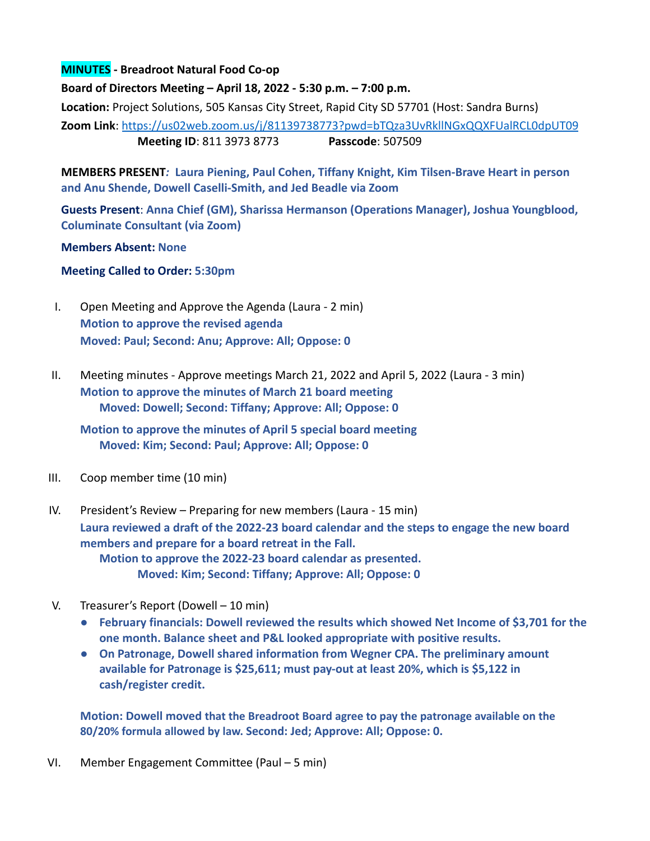## **MINUTES - Breadroot Natural Food Co-op**

**Board of Directors Meeting – April 18, 2022 - 5:30 p.m. – 7:00 p.m.**

**Location:** Project Solutions, 505 Kansas City Street, Rapid City SD 57701 (Host: Sandra Burns) **Zoom Link**: <https://us02web.zoom.us/j/81139738773?pwd=bTQza3UvRkllNGxQQXFUalRCL0dpUT09> **Meeting ID**: 811 3973 8773 **Passcode**: 507509

**MEMBERS PRESENT***:* **Laura Piening, Paul Cohen, Tiffany Knight, Kim Tilsen-Brave Heart in person and Anu Shende, Dowell Caselli-Smith, and Jed Beadle via Zoom**

**Guests Present**: **Anna Chief (GM), Sharissa Hermanson (Operations Manager), Joshua Youngblood, Columinate Consultant (via Zoom)**

**Members Absent: None**

**Meeting Called to Order: 5:30pm**

- I. Open Meeting and Approve the Agenda (Laura 2 min) **Motion to approve the revised agenda Moved: Paul; Second: Anu; Approve: All; Oppose: 0**
- II. Meeting minutes Approve meetings March 21, 2022 and April 5, 2022 (Laura 3 min) **Motion to approve the minutes of March 21 board meeting Moved: Dowell; Second: Tiffany; Approve: All; Oppose: 0**

**Motion to approve the minutes of April 5 special board meeting Moved: Kim; Second: Paul; Approve: All; Oppose: 0**

- III. Coop member time (10 min)
- IV. President's Review Preparing for new members (Laura 15 min) **Laura reviewed a draft of the 2022-23 board calendar and the steps to engage the new board members and prepare for a board retreat in the Fall. Motion to approve the 2022-23 board calendar as presented. Moved: Kim; Second: Tiffany; Approve: All; Oppose: 0**
- V. Treasurer's Report (Dowell 10 min)
	- **● February financials: Dowell reviewed the results which showed Net Income of \$3,701 for the one month. Balance sheet and P&L looked appropriate with positive results.**
	- **● On Patronage, Dowell shared information from Wegner CPA. The preliminary amount available for Patronage is \$25,611; must pay-out at least 20%, which is \$5,122 in cash/register credit.**

**Motion: Dowell moved that the Breadroot Board agree to pay the patronage available on the 80/20% formula allowed by law. Second: Jed; Approve: All; Oppose: 0.**

VI. Member Engagement Committee (Paul – 5 min)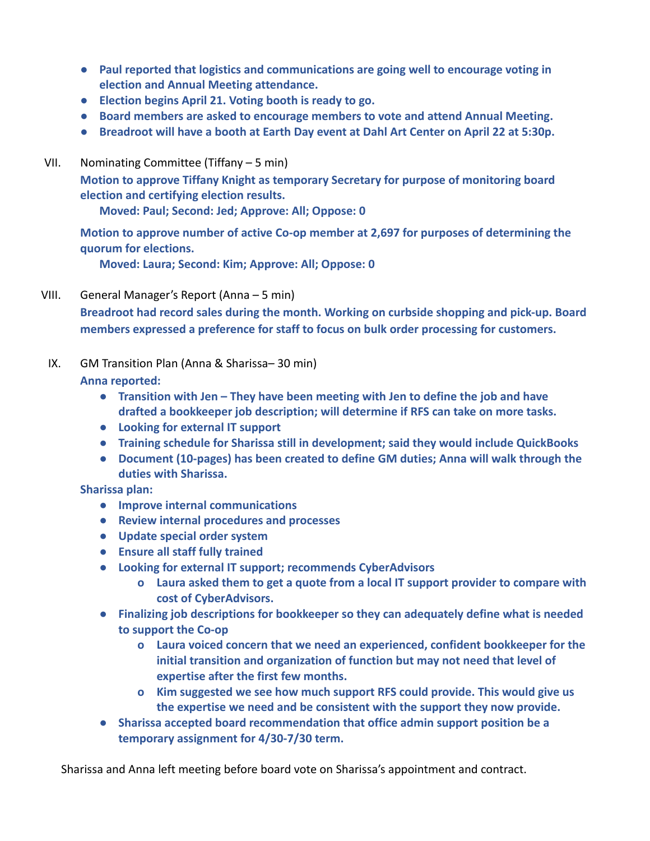- **● Paul reported that logistics and communications are going well to encourage voting in election and Annual Meeting attendance.**
- **● Election begins April 21. Voting booth is ready to go.**
- **● Board members are asked to encourage members to vote and attend Annual Meeting.**
- **● Breadroot will have a booth at Earth Day event at Dahl Art Center on April 22 at 5:30p.**
- VII. Nominating Committee (Tiffany 5 min)

**Motion to approve Tiffany Knight as temporary Secretary for purpose of monitoring board election and certifying election results.**

**Moved: Paul; Second: Jed; Approve: All; Oppose: 0**

**Motion to approve number of active Co-op member at 2,697 for purposes of determining the quorum for elections.**

**Moved: Laura; Second: Kim; Approve: All; Oppose: 0**

VIII. General Manager's Report (Anna – 5 min)

**Breadroot had record sales during the month. Working on curbside shopping and pick-up. Board members expressed a preference for staff to focus on bulk order processing for customers.**

IX. GM Transition Plan (Anna & Sharissa– 30 min)

**Anna reported:**

- **● Transition with Jen They have been meeting with Jen to define the job and have drafted a bookkeeper job description; will determine if RFS can take on more tasks.**
- **● Looking for external IT support**
- **● Training schedule for Sharissa still in development; said they would include QuickBooks**
- **● Document (10-pages) has been created to define GM duties; Anna will walk through the duties with Sharissa.**

**Sharissa plan:**

- **● Improve internal communications**
- **● Review internal procedures and processes**
- **● Update special order system**
- **● Ensure all staff fully trained**
- **● Looking for external IT support; recommends CyberAdvisors**
	- **o Laura asked them to get a quote from a local IT support provider to compare with cost of CyberAdvisors.**
- **● Finalizing job descriptions for bookkeeper so they can adequately define what is needed to support the Co-op**
	- **o Laura voiced concern that we need an experienced, confident bookkeeper for the initial transition and organization of function but may not need that level of expertise after the first few months.**
	- **o Kim suggested we see how much support RFS could provide. This would give us the expertise we need and be consistent with the support they now provide.**
- **● Sharissa accepted board recommendation that office admin support position be a temporary assignment for 4/30-7/30 term.**

Sharissa and Anna left meeting before board vote on Sharissa's appointment and contract.